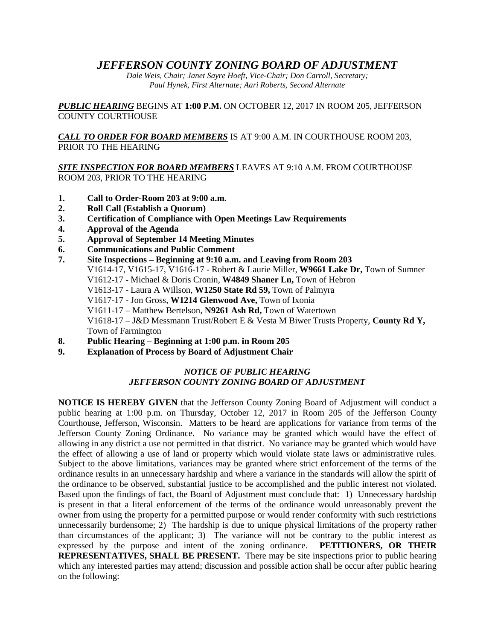# *JEFFERSON COUNTY ZONING BOARD OF ADJUSTMENT*

*Dale Weis, Chair; Janet Sayre Hoeft, Vice-Chair; Don Carroll, Secretary; Paul Hynek, First Alternate; Aari Roberts, Second Alternate*

*PUBLIC HEARING* BEGINS AT **1:00 P.M.** ON OCTOBER 12, 2017 IN ROOM 205, JEFFERSON COUNTY COURTHOUSE

*CALL TO ORDER FOR BOARD MEMBERS* IS AT 9:00 A.M. IN COURTHOUSE ROOM 203, PRIOR TO THE HEARING

*SITE INSPECTION FOR BOARD MEMBERS* LEAVES AT 9:10 A.M. FROM COURTHOUSE ROOM 203, PRIOR TO THE HEARING

- **1. Call to Order-Room 203 at 9:00 a.m.**
- **2. Roll Call (Establish a Quorum)**
- **3. Certification of Compliance with Open Meetings Law Requirements**
- **4. Approval of the Agenda**
- **5. Approval of September 14 Meeting Minutes**
- **6. Communications and Public Comment**
- **7. Site Inspections – Beginning at 9:10 a.m. and Leaving from Room 203** V1614-17, V1615-17, V1616-17 - Robert & Laurie Miller, **W9661 Lake Dr,** Town of Sumner V1612-17 - Michael & Doris Cronin, **W4849 Shaner Ln,** Town of Hebron V1613-17 - Laura A Willson, **W1250 State Rd 59,** Town of Palmyra V1617-17 - Jon Gross, **W1214 Glenwood Ave,** Town of Ixonia V1611-17 – Matthew Bertelson, **N9261 Ash Rd,** Town of Watertown V1618-17 – J&D Messmann Trust/Robert E & Vesta M Biwer Trusts Property, **County Rd Y,**  Town of Farmington
- **8. Public Hearing – Beginning at 1:00 p.m. in Room 205**
- **9. Explanation of Process by Board of Adjustment Chair**

### *NOTICE OF PUBLIC HEARING JEFFERSON COUNTY ZONING BOARD OF ADJUSTMENT*

**NOTICE IS HEREBY GIVEN** that the Jefferson County Zoning Board of Adjustment will conduct a public hearing at 1:00 p.m. on Thursday, October 12, 2017 in Room 205 of the Jefferson County Courthouse, Jefferson, Wisconsin. Matters to be heard are applications for variance from terms of the Jefferson County Zoning Ordinance. No variance may be granted which would have the effect of allowing in any district a use not permitted in that district. No variance may be granted which would have the effect of allowing a use of land or property which would violate state laws or administrative rules. Subject to the above limitations, variances may be granted where strict enforcement of the terms of the ordinance results in an unnecessary hardship and where a variance in the standards will allow the spirit of the ordinance to be observed, substantial justice to be accomplished and the public interest not violated. Based upon the findings of fact, the Board of Adjustment must conclude that: 1) Unnecessary hardship is present in that a literal enforcement of the terms of the ordinance would unreasonably prevent the owner from using the property for a permitted purpose or would render conformity with such restrictions unnecessarily burdensome; 2) The hardship is due to unique physical limitations of the property rather than circumstances of the applicant; 3) The variance will not be contrary to the public interest as expressed by the purpose and intent of the zoning ordinance. **PETITIONERS, OR THEIR REPRESENTATIVES, SHALL BE PRESENT.** There may be site inspections prior to public hearing which any interested parties may attend; discussion and possible action shall be occur after public hearing on the following: